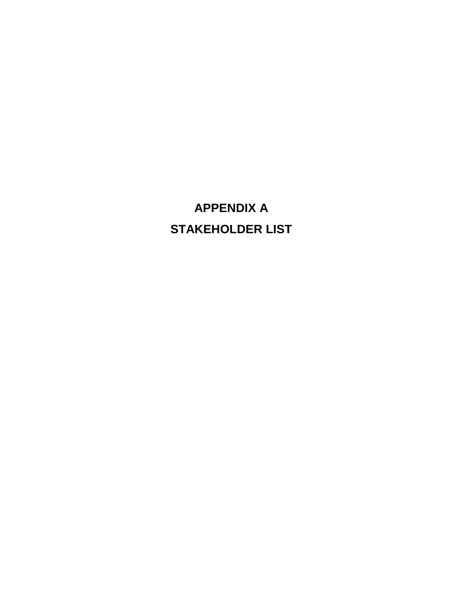# **APPENDIX A STAKEHOLDER LIST**